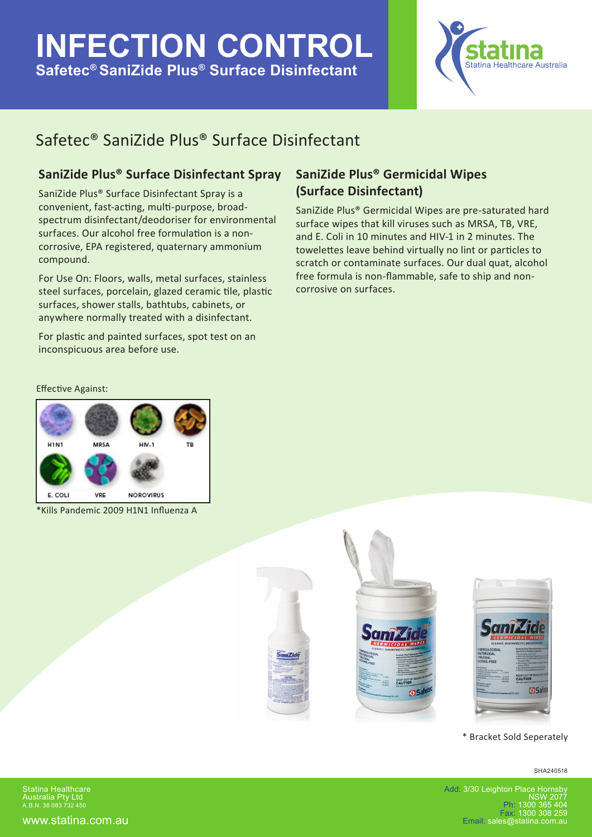## **INFECTION CONTROL Safetec® SaniZide Plus® Surface Disinfectant**



## Safetec® SaniZide Plus® Surface Disinfectant

### **SaniZide Plus® Surface Disinfectant Spray**

SaniZide Plus® Surface Disinfectant Spray is a convenient, fast-acting, multi-purpose, broadspectrum disinfectant/deodoriser for environmental surfaces. Our alcohol free formulation is a noncorrosive, EPA registered, quaternary ammonium compound.

For Use On: Floors, walls, metal surfaces, stainless steel surfaces, porcelain, glazed ceramic tile, plastic surfaces, shower stalls, bathtubs, cabinets, or anywhere normally treated with a disinfectant.

For plastic and painted surfaces, spot test on an inconspicuous area before use.

### **SaniZide Plus® Germicidal Wipes (Surface Disinfectant)**

SaniZide Plus® Germicidal Wipes are pre-saturated hard surface wipes that kill viruses such as MRSA, TB, VRE, and E. Coli in 10 minutes and HIV-1 in 2 minutes. The towelettes leave behind virtually no lint or particles to scratch or contaminate surfaces. Our dual quat, alcohol free formula is non-flammable, safe to ship and noncorrosive on surfaces.

#### Effective Against:



\*Kills Pandemic 2009 H1N1 Influenza A







#### \* Bracket Sold Seperately

SHA240518

Statina Healthcare Australia Pty Ltd A.B.N. 38 083 732 450

www.statina.com.au

Add: 3/30 Leighton Place Hornsb NSW 2077 Ph: 1300 365 404 Fax: 1300 308 259 Email: sales@statina.com.au